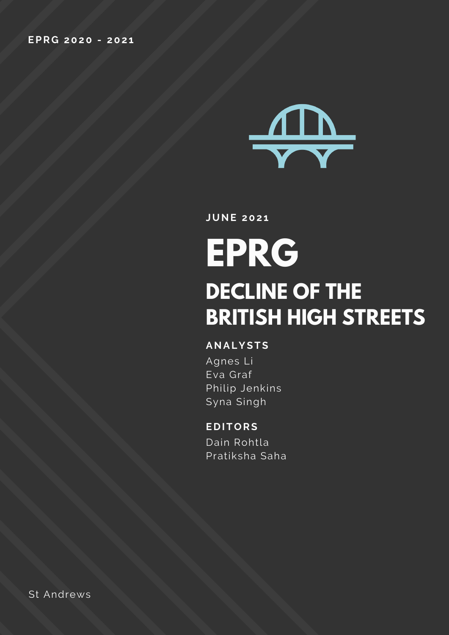

**JUNE 202 1**

# **EPRG DECLINE OF THE BRITISH HIGH STREETS**

#### **ANALYSTS**

Agnes Li Eva Graf Philip Jenkins Syna Singh

#### **E D ITORS**

Dain Rohtla Pratiksha Saha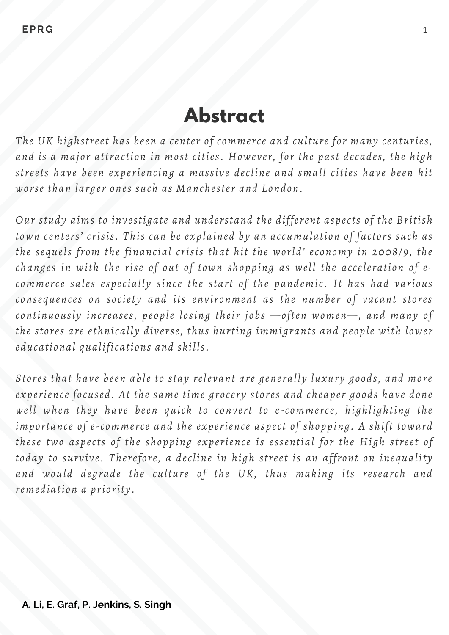# **Abstract**

*The UK highstreet has been a center of commerce and culture for many centuries, and is a major attraction in most cities. However, for the past decades, the high streets have been experiencing a massive decline and small cities have been hit worse than larger ones such as Manchester and London.*

*Our study aims to investigate and understand the different aspects of the British town centers' crisis. This can be explained by an accumulation of factors such as the sequels from the financial crisis that hit the world' economy in 2008/9, the changes in with the rise of out of town shopping as well the acceleration of ecommerce sales especially since the start of the pandemic. It has had various consequences on society and its environment as the number of vacant stores continuously increases, people losing their jobs —often women—, and many of the stores are ethnically diverse, thus hurting immigrants and people with lower educational qualifications and skills.*

*Stores that have been able to stay relevant are generally luxury goods, and more experience focused. At the same time grocery stores and cheaper goods have done well when they have been quick to convert to e-commerce, highlighting the importance of e-commerce and the experience aspect of shopping. A shift toward these two aspects of the shopping experience is essential for the High street of today to survive. Therefore, a decline in high street is an affront on inequality and would degrade the culture of the UK, thus making its research and remediation a priority.*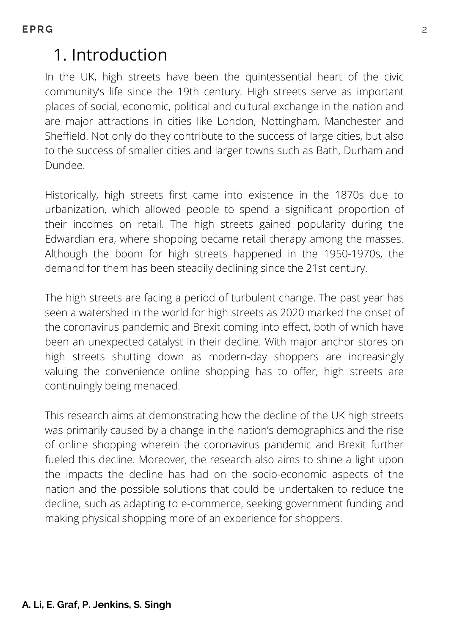### 1. Introduction

In the UK, high streets have been the quintessential heart of the civic community's life since the 19th century. High streets serve as important places of social, economic, political and cultural exchange in the nation and are major attractions in cities like London, Nottingham, Manchester and Sheffield. Not only do they contribute to the success of large cities, but also to the success of smaller cities and larger towns such as Bath, Durham and Dundee.

Historically, high streets first came into existence in the 1870s due to urbanization, which allowed people to spend a significant proportion of their incomes on retail. The high streets gained popularity during the Edwardian era, where shopping became retail therapy among the masses. Although the boom for high streets happened in the 1950-1970s, the demand for them has been steadily declining since the 21st century.

The high streets are facing a period of turbulent change. The past year has seen a watershed in the world for high streets as 2020 marked the onset of the coronavirus pandemic and Brexit coming into effect, both of which have been an unexpected catalyst in their decline. With major anchor stores on high streets shutting down as modern-day shoppers are increasingly valuing the convenience online shopping has to offer, high streets are continuingly being menaced.

This research aims at demonstrating how the decline of the UK high streets was primarily caused by a change in the nation's demographics and the rise of online shopping wherein the coronavirus pandemic and Brexit further fueled this decline. Moreover, the research also aims to shine a light upon the impacts the decline has had on the socio-economic aspects of the nation and the possible solutions that could be undertaken to reduce the decline, such as adapting to e-commerce, seeking government funding and making physical shopping more of an experience for shoppers.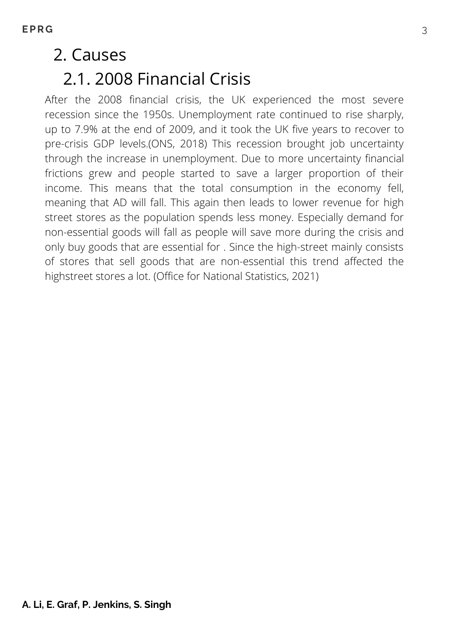### 2. Causes

### 2.1. 2008 Financial Crisis

After the 2008 financial crisis, the UK experienced the most severe recession since the 1950s. Unemployment rate continued to rise sharply, up to 7.9% at the end of 2009, and it took the UK five years to recover to pre-crisis GDP levels.(ONS, 2018) This recession brought job uncertainty through the increase in unemployment. Due to more uncertainty financial frictions grew and people started to save a larger proportion of their income. This means that the total consumption in the economy fell, meaning that AD will fall. This again then leads to lower revenue for high street stores as the population spends less money. Especially demand for non-essential goods will fall as people will save more during the crisis and only buy goods that are essential for . Since the high-street mainly consists of stores that sell goods that are non-essential this trend affected the highstreet stores a lot. (Office for National Statistics, 2021)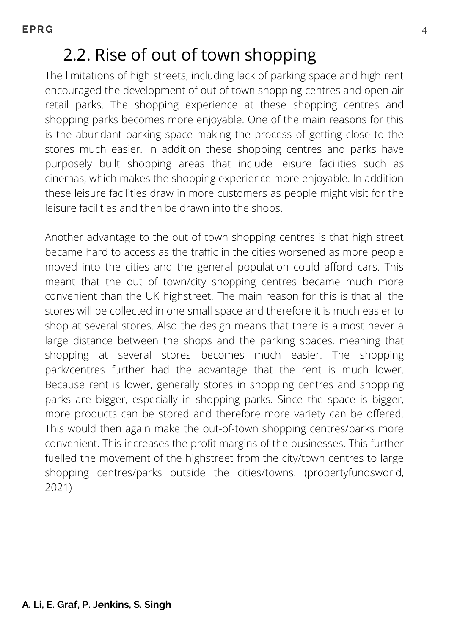### 2.2. Rise of out of town shopping

The limitations of high streets, including lack of parking space and high rent encouraged the development of out of town shopping centres and open air retail parks. The shopping experience at these shopping centres and shopping parks becomes more enjoyable. One of the main reasons for this is the abundant parking space making the process of getting close to the stores much easier. In addition these shopping centres and parks have purposely built shopping areas that include leisure facilities such as cinemas, which makes the shopping experience more enjoyable. In addition these leisure facilities draw in more customers as people might visit for the leisure facilities and then be drawn into the shops.

Another advantage to the out of town shopping centres is that high street became hard to access as the traffic in the cities worsened as more people moved into the cities and the general population could afford cars. This meant that the out of town/city shopping centres became much more convenient than the UK highstreet. The main reason for this is that all the stores will be collected in one small space and therefore it is much easier to shop at several stores. Also the design means that there is almost never a large distance between the shops and the parking spaces, meaning that shopping at several stores becomes much easier. The shopping park/centres further had the advantage that the rent is much lower. Because rent is lower, generally stores in shopping centres and shopping parks are bigger, especially in shopping parks. Since the space is bigger, more products can be stored and therefore more variety can be offered. This would then again make the out-of-town shopping centres/parks more convenient. This increases the profit margins of the businesses. This further fuelled the movement of the highstreet from the city/town centres to large shopping centres/parks outside the cities/towns. (propertyfundsworld, 2021)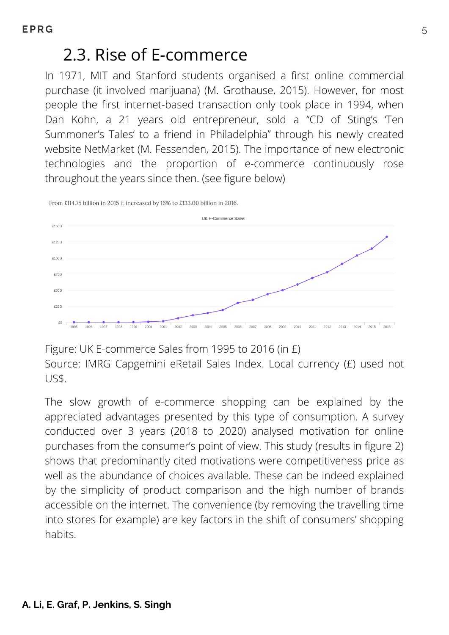### 2.3. Rise of E-commerce

In 1971, MIT and Stanford students organised a first online commercial purchase (it involved marijuana) (M. Grothause, 2015). However, for most people the first internet-based transaction only took place in 1994, when Dan Kohn, a 21 years old entrepreneur, sold a "CD of Sting's 'Ten Summoner's Tales' to a friend in Philadelphia" through his newly created website NetMarket (M. Fessenden, 2015). The importance of new electronic technologies and the proportion of e-commerce continuously rose throughout the years since then. (see figure below)

UK E-Commerce Sales £150G £1250 £1000 £750 £50G £25G £0 1995 2002 1996 1997 1998 1999 2000 2001 2003 2004 2005 2006 2007 2008 2009 2010 2011 2012 2013 2014 2015 2016

From £114.75 billion in 2015 it increased by 16% to £133.00 billion in 2016.

Figure: UK E-commerce Sales from 1995 to 2016 (in £) Source: IMRG Capgemini eRetail Sales Index. Local currency (£) used not US\$.

The slow growth of e-commerce shopping can be explained by the appreciated advantages presented by this type of consumption. A survey conducted over 3 years (2018 to 2020) analysed motivation for online purchases from the consumer's point of view. This study (results in figure 2) shows that predominantly cited motivations were competitiveness price as well as the abundance of choices available. These can be indeed explained by the simplicity of product comparison and the high number of brands accessible on the internet. The convenience (by removing the travelling time into stores for example) are key factors in the shift of consumers' shopping habits.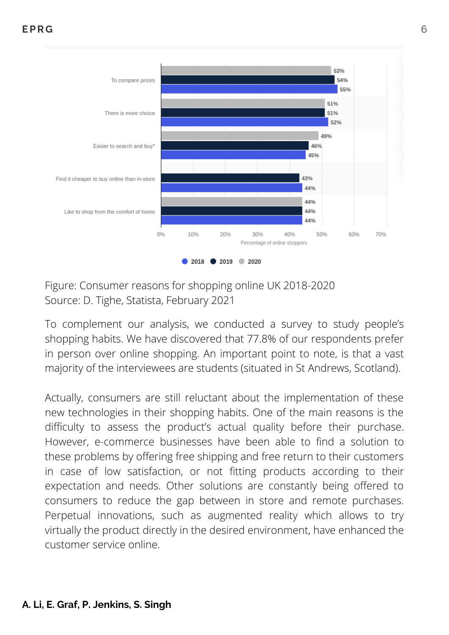

Figure: Consumer reasons for shopping online UK 2018-2020 Source: D. Tighe, Statista, February 2021

To complement our analysis, we conducted a survey to study people's shopping habits. We have discovered that 77.8% of our respondents prefer in person over online shopping. An important point to note, is that a vast majority of the interviewees are students (situated in St Andrews, Scotland).

Actually, consumers are still reluctant about the implementation of these new technologies in their shopping habits. One of the main reasons is the difficulty to assess the product's actual quality before their purchase. However, e-commerce businesses have been able to find a solution to these problems by offering free shipping and free return to their customers in case of low satisfaction, or not fitting products according to their expectation and needs. Other solutions are constantly being offered to consumers to reduce the gap between in store and remote purchases. Perpetual innovations, such as augmented reality which allows to try virtually the product directly in the desired environment, have enhanced the customer service online.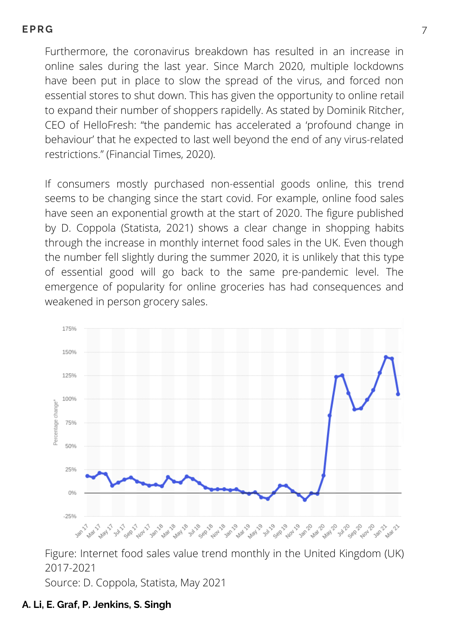Furthermore, the coronavirus breakdown has resulted in an increase in online sales during the last year. Since March 2020, multiple lockdowns have been put in place to slow the spread of the virus, and forced non essential stores to shut down. This has given the opportunity to online retail to expand their number of shoppers rapidelly. As stated by Dominik Ritcher, CEO of HelloFresh: "the pandemic has accelerated a 'profound change in behaviour' that he expected to last well beyond the end of any virus-related restrictions." (Financial Times, 2020).

If consumers mostly purchased non-essential goods online, this trend seems to be changing since the start covid. For example, online food sales have seen an exponential growth at the start of 2020. The figure published by D. Coppola (Statista, 2021) shows a clear change in shopping habits through the increase in monthly internet food sales in the UK. Even though the number fell slightly during the summer 2020, it is unlikely that this type of essential good will go back to the same pre-pandemic level. The emergence of popularity for online groceries has had consequences and weakened in person grocery sales.



Figure: Internet food sales value trend monthly in the United Kingdom (UK) 2017-2021

Source: D. Coppola, Statista, May 2021

#### **A. Li, E. Graf, P. Jenkins, S. Singh**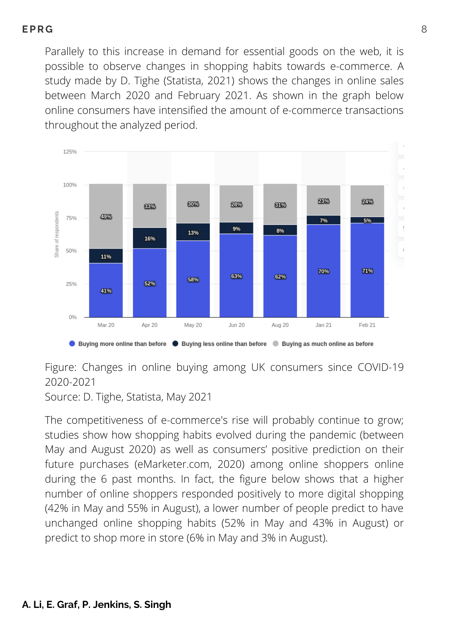Parallely to this increase in demand for essential goods on the web, it is possible to observe changes in shopping habits towards e-commerce. A study made by D. Tighe (Statista, 2021) shows the changes in online sales between March 2020 and February 2021. As shown in the graph below online consumers have intensified the amount of e-commerce transactions throughout the analyzed period.



Figure: Changes in online buying among UK consumers since COVID-19 2020-2021

Source: D. Tighe, Statista, May 2021

The competitiveness of e-commerce's rise will probably continue to grow; studies show how shopping habits evolved during the pandemic (between May and August 2020) as well as consumers' positive prediction on their future purchases (eMarketer.com, 2020) among online shoppers online during the 6 past months. In fact, the figure below shows that a higher number of online shoppers responded positively to more digital shopping (42% in May and 55% in August), a lower number of people predict to have unchanged online shopping habits (52% in May and 43% in August) or predict to shop more in store (6% in May and 3% in August).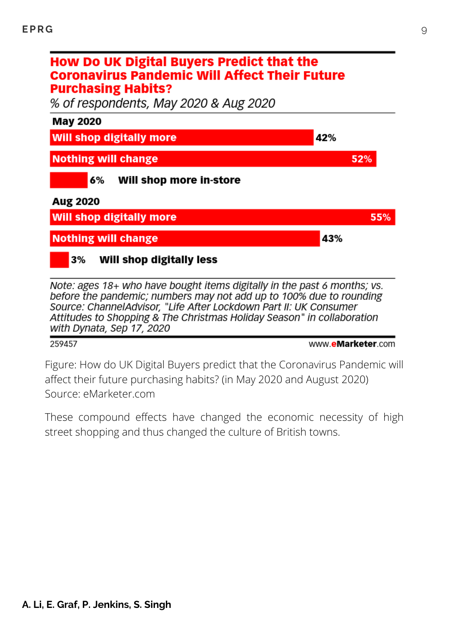#### How Do UK Digital Buyers Predict that the **Coronavirus Pandemic Will Affect Their Future Purchasing Habits?**

% of respondents, May 2020 & Aug 2020



Note: ages 18+ who have bought items digitally in the past 6 months; vs. before the pandemic; numbers may not add up to 100% due to rounding Source: ChannelAdvisor, "Life After Lockdown Part II: UK Consumer Attitudes to Shopping & The Christmas Holiday Season" in collaboration with Dynata, Sep 17, 2020

#### 259457

www.eMarketer.com

Figure: How do UK Digital Buyers predict that the Coronavirus Pandemic will affect their future purchasing habits? (in May 2020 and August 2020) Source: eMarketer.com

These compound effects have changed the economic necessity of high street shopping and thus changed the culture of British towns.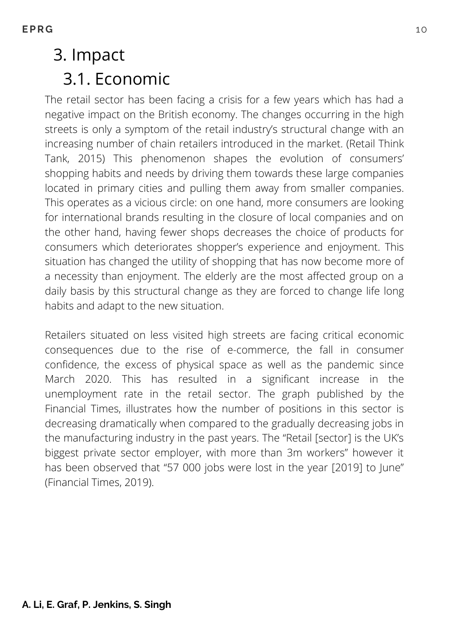# 3. Impact 3.1. Economic

The retail sector has been facing a crisis for a few years which has had a negative impact on the British economy. The changes occurring in the high streets is only a symptom of the retail industry's structural change with an increasing number of chain retailers introduced in the market. (Retail Think Tank, 2015) This phenomenon shapes the evolution of consumers' shopping habits and needs by driving them towards these large companies located in primary cities and pulling them away from smaller companies. This operates as a vicious circle: on one hand, more consumers are looking for international brands resulting in the closure of local companies and on the other hand, having fewer shops decreases the choice of products for consumers which deteriorates shopper's experience and enjoyment. This situation has changed the utility of shopping that has now become more of a necessity than enjoyment. The elderly are the most affected group on a daily basis by this structural change as they are forced to change life long habits and adapt to the new situation.

Retailers situated on less visited high streets are facing critical economic consequences due to the rise of e-commerce, the fall in consumer confidence, the excess of physical space as well as the pandemic since March 2020. This has resulted in a significant increase in the unemployment rate in the retail sector. The graph published by the Financial Times, illustrates how the number of positions in this sector is decreasing dramatically when compared to the gradually decreasing jobs in the manufacturing industry in the past years. The "Retail [sector] is the UK's biggest private sector employer, with more than 3m workers" however it has been observed that "57 000 jobs were lost in the year [2019] to June" (Financial Times, 2019).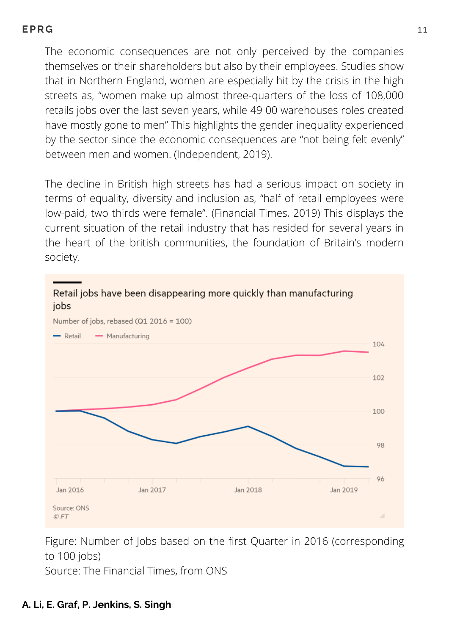The economic consequences are not only perceived by the companies themselves or their shareholders but also by their employees. Studies show that in Northern England, women are especially hit by the crisis in the high streets as, "women make up almost three-quarters of the loss of 108,000 retails jobs over the last seven years, while 49 00 warehouses roles created have mostly gone to men" This highlights the gender inequality experienced by the sector since the economic consequences are "not being felt evenly" between men and women. (Independent, 2019).

The decline in British high streets has had a serious impact on society in terms of equality, diversity and inclusion as, "half of retail employees were low-paid, two thirds were female". (Financial Times, 2019) This displays the current situation of the retail industry that has resided for several years in the heart of the british communities, the foundation of Britain's modern society.



Figure: Number of Jobs based on the first Quarter in 2016 (corresponding to 100 jobs)

Source: The Financial Times, from ONS

#### **A. Li, E. Graf, P. Jenkins, S. Singh**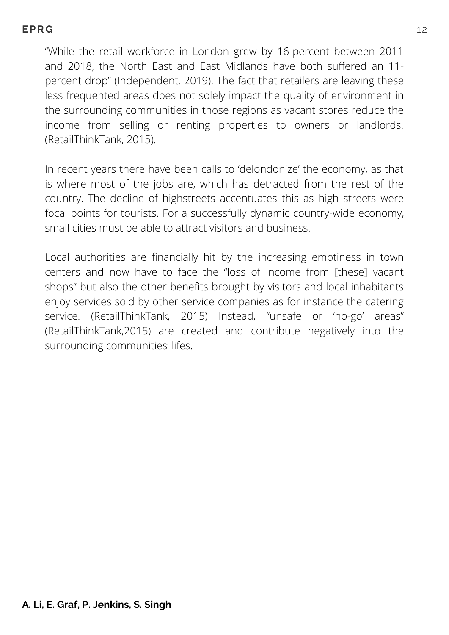"While the retail workforce in London grew by 16-percent between 2011 and 2018, the North East and East Midlands have both suffered an 11 percent drop" (Independent, 2019). The fact that retailers are leaving these less frequented areas does not solely impact the quality of environment in the surrounding communities in those regions as vacant stores reduce the income from selling or renting properties to owners or landlords. (RetailThinkTank, 2015).

In recent years there have been calls to 'delondonize' the economy, as that is where most of the jobs are, which has detracted from the rest of the country. The decline of highstreets accentuates this as high streets were focal points for tourists. For a successfully dynamic country-wide economy, small cities must be able to attract visitors and business.

Local authorities are financially hit by the increasing emptiness in town centers and now have to face the "loss of income from [these] vacant shops" but also the other benefits brought by visitors and local inhabitants enjoy services sold by other service companies as for instance the catering service. (RetailThinkTank, 2015) Instead, "unsafe or 'no-go' areas" (RetailThinkTank,2015) are created and contribute negatively into the surrounding communities' lifes.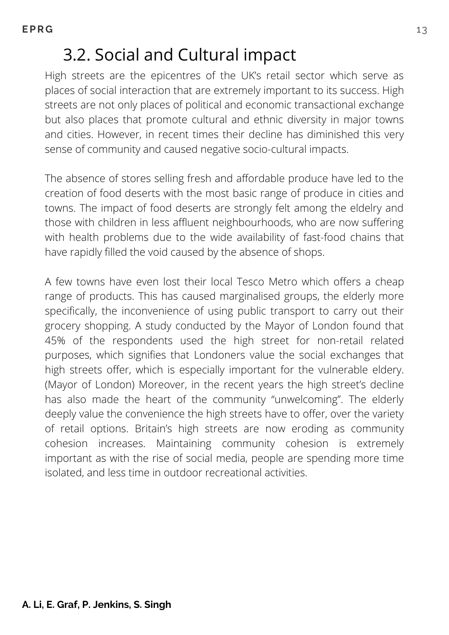# 3.2. Social and Cultural impact

High streets are the epicentres of the UK's retail sector which serve as places of social interaction that are extremely important to its success. High streets are not only places of political and economic transactional exchange but also places that promote cultural and ethnic diversity in major towns and cities. However, in recent times their decline has diminished this very sense of community and caused negative socio-cultural impacts.

The absence of stores selling fresh and affordable produce have led to the creation of food deserts with the most basic range of produce in cities and towns. The impact of food deserts are strongly felt among the eldelry and those with children in less affluent neighbourhoods, who are now suffering with health problems due to the wide availability of fast-food chains that have rapidly filled the void caused by the absence of shops.

A few towns have even lost their local Tesco Metro which offers a cheap range of products. This has caused marginalised groups, the elderly more specifically, the inconvenience of using public transport to carry out their grocery shopping. A study conducted by the Mayor of London found that 45% of the respondents used the high street for non-retail related purposes, which signifies that Londoners value the social exchanges that high streets offer, which is especially important for the vulnerable eldery. (Mayor of London) Moreover, in the recent years the high street's decline has also made the heart of the community "unwelcoming". The elderly deeply value the convenience the high streets have to offer, over the variety of retail options. Britain's high streets are now eroding as community cohesion increases. Maintaining community cohesion is extremely important as with the rise of social media, people are spending more time isolated, and less time in outdoor recreational activities.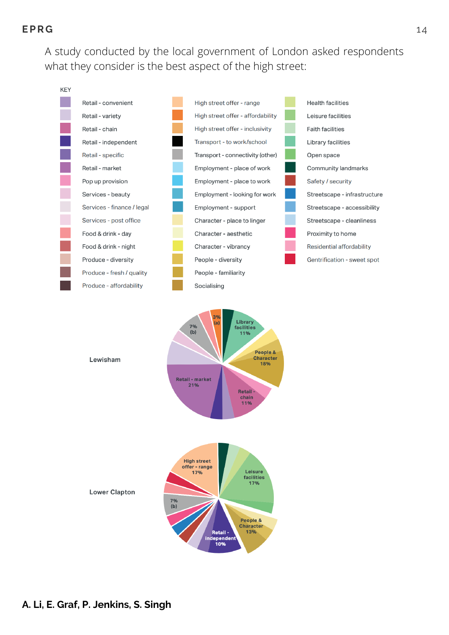A study conducted by the local government of London asked respondents what they consider is the best aspect of the high street:





**Lower Clapton**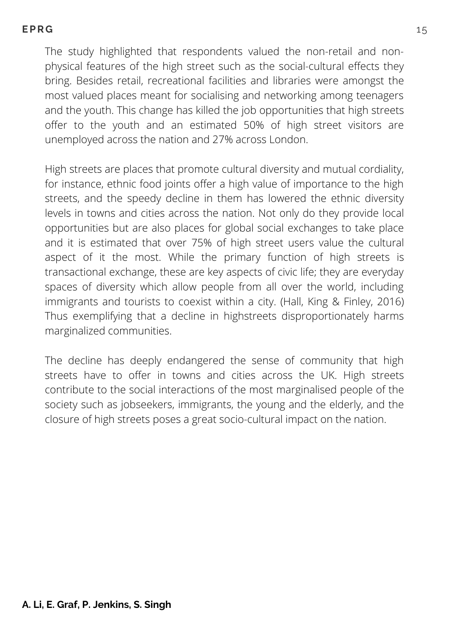The study highlighted that respondents valued the non-retail and nonphysical features of the high street such as the social-cultural effects they bring. Besides retail, recreational facilities and libraries were amongst the most valued places meant for socialising and networking among teenagers and the youth. This change has killed the job opportunities that high streets offer to the youth and an estimated 50% of high street visitors are unemployed across the nation and 27% across London.

High streets are places that promote cultural diversity and mutual cordiality, for instance, ethnic food joints offer a high value of importance to the high streets, and the speedy decline in them has lowered the ethnic diversity levels in towns and cities across the nation. Not only do they provide local opportunities but are also places for global social exchanges to take place and it is estimated that over 75% of high street users value the cultural aspect of it the most. While the primary function of high streets is transactional exchange, these are key aspects of civic life; they are everyday spaces of diversity which allow people from all over the world, including immigrants and tourists to coexist within a city. (Hall, King & Finley, 2016) Thus exemplifying that a decline in highstreets disproportionately harms marginalized communities.

The decline has deeply endangered the sense of community that high streets have to offer in towns and cities across the UK. High streets contribute to the social interactions of the most marginalised people of the society such as jobseekers, immigrants, the young and the elderly, and the closure of high streets poses a great socio-cultural impact on the nation.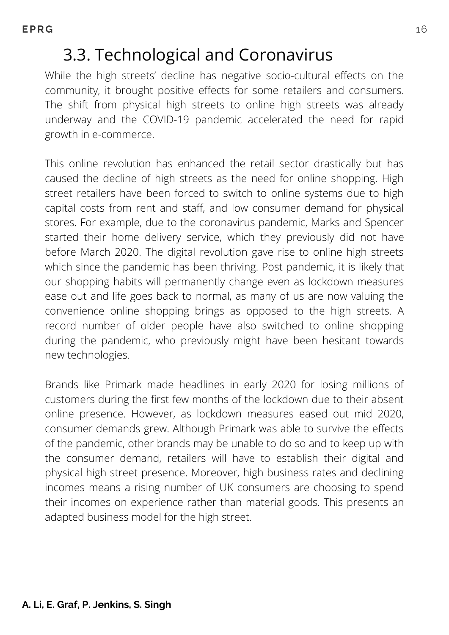# 3.3. Technological and Coronavirus

While the high streets' decline has negative socio-cultural effects on the community, it brought positive effects for some retailers and consumers. The shift from physical high streets to online high streets was already underway and the COVID-19 pandemic accelerated the need for rapid growth in e-commerce.

This online revolution has enhanced the retail sector drastically but has caused the decline of high streets as the need for online shopping. High street retailers have been forced to switch to online systems due to high capital costs from rent and staff, and low consumer demand for physical stores. For example, due to the coronavirus pandemic, Marks and Spencer started their home delivery service, which they previously did not have before March 2020. The digital revolution gave rise to online high streets which since the pandemic has been thriving. Post pandemic, it is likely that our shopping habits will permanently change even as lockdown measures ease out and life goes back to normal, as many of us are now valuing the convenience online shopping brings as opposed to the high streets. A record number of older people have also switched to online shopping during the pandemic, who previously might have been hesitant towards new technologies.

Brands like Primark made headlines in early 2020 for losing millions of customers during the first few months of the lockdown due to their absent online presence. However, as lockdown measures eased out mid 2020, consumer demands grew. Although Primark was able to survive the effects of the pandemic, other brands may be unable to do so and to keep up with the consumer demand, retailers will have to establish their digital and physical high street presence. Moreover, high business rates and declining incomes means a rising number of UK consumers are choosing to spend their incomes on experience rather than material goods. This presents an adapted business model for the high street.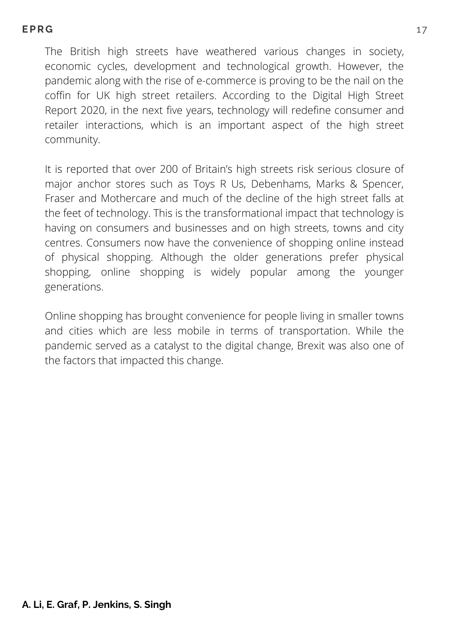The British high streets have weathered various changes in society, economic cycles, development and technological growth. However, the pandemic along with the rise of e-commerce is proving to be the nail on the coffin for UK high street retailers. According to the Digital High Street Report 2020, in the next five years, technology will redefine consumer and retailer interactions, which is an important aspect of the high street community.

It is reported that over 200 of Britain's high streets risk serious closure of major anchor stores such as Toys R Us, Debenhams, Marks & Spencer, Fraser and Mothercare and much of the decline of the high street falls at the feet of technology. This is the transformational impact that technology is having on consumers and businesses and on high streets, towns and city centres. Consumers now have the convenience of shopping online instead of physical shopping. Although the older generations prefer physical shopping, online shopping is widely popular among the younger generations.

Online shopping has brought convenience for people living in smaller towns and cities which are less mobile in terms of transportation. While the pandemic served as a catalyst to the digital change, Brexit was also one of the factors that impacted this change.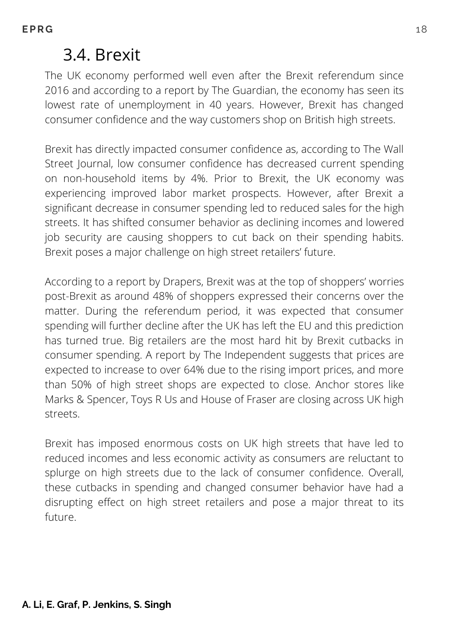### 3.4. Brexit

The UK economy performed well even after the Brexit referendum since 2016 and according to a report by The Guardian, the economy has seen its lowest rate of unemployment in 40 years. However, Brexit has changed consumer confidence and the way customers shop on British high streets.

Brexit has directly impacted consumer confidence as, according to The Wall Street Journal, low consumer confidence has decreased current spending on non-household items by 4%. Prior to Brexit, the UK economy was experiencing improved labor market prospects. However, after Brexit a significant decrease in consumer spending led to reduced sales for the high streets. It has shifted consumer behavior as declining incomes and lowered job security are causing shoppers to cut back on their spending habits. Brexit poses a major challenge on high street retailers' future.

According to a report by Drapers, Brexit was at the top of shoppers' worries post-Brexit as around 48% of shoppers expressed their concerns over the matter. During the referendum period, it was expected that consumer spending will further decline after the UK has left the EU and this prediction has turned true. Big retailers are the most hard hit by Brexit cutbacks in consumer spending. A report by The Independent suggests that prices are expected to increase to over 64% due to the rising import prices, and more than 50% of high street shops are expected to close. Anchor stores like Marks & Spencer, Toys R Us and House of Fraser are closing across UK high streets.

Brexit has imposed enormous costs on UK high streets that have led to reduced incomes and less economic activity as consumers are reluctant to splurge on high streets due to the lack of consumer confidence. Overall, these cutbacks in spending and changed consumer behavior have had a disrupting effect on high street retailers and pose a major threat to its future.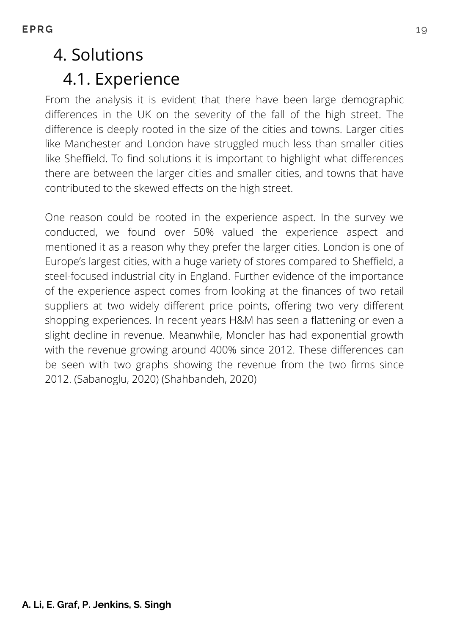# 4. Solutions 4.1. Experience

From the analysis it is evident that there have been large demographic differences in the UK on the severity of the fall of the high street. The difference is deeply rooted in the size of the cities and towns. Larger cities like Manchester and London have struggled much less than smaller cities like Sheffield. To find solutions it is important to highlight what differences there are between the larger cities and smaller cities, and towns that have contributed to the skewed effects on the high street.

One reason could be rooted in the experience aspect. In the survey we conducted, we found over 50% valued the experience aspect and mentioned it as a reason why they prefer the larger cities. London is one of Europe's largest cities, with a huge variety of stores compared to Sheffield, a steel-focused industrial city in England. Further evidence of the importance of the experience aspect comes from looking at the finances of two retail suppliers at two widely different price points, offering two very different shopping experiences. In recent years H&M has seen a flattening or even a slight decline in revenue. Meanwhile, Moncler has had exponential growth with the revenue growing around 400% since 2012. These differences can be seen with two graphs showing the revenue from the two firms since 2012. (Sabanoglu, 2020) (Shahbandeh, 2020)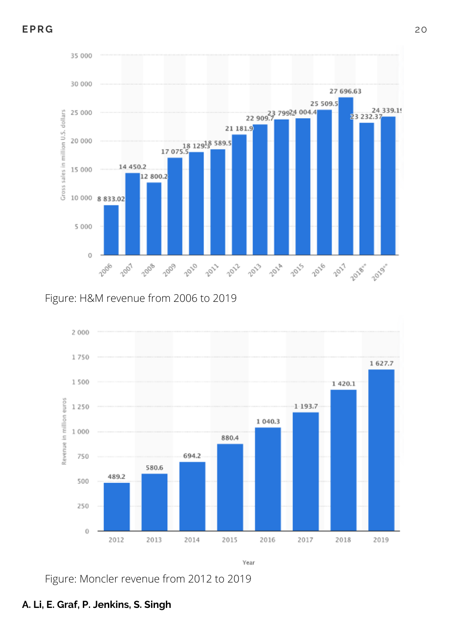

Figure: H&M revenue from 2006 to 2019



Figure: Moncler revenue from 2012 to 2019

#### **A. Li, E. Graf, P. Jenkins, S. Singh**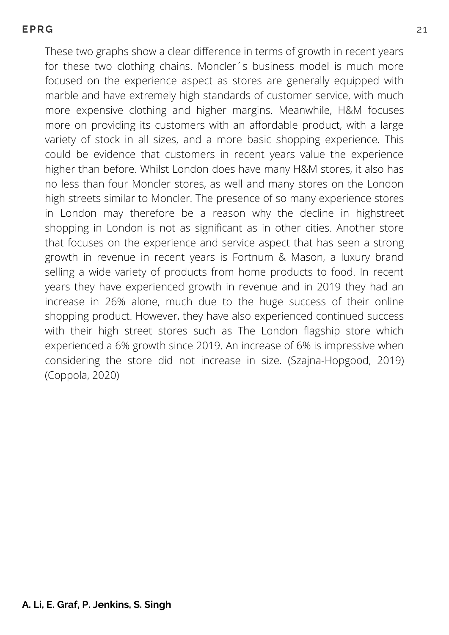**EPR G** 21

These two graphs show a clear difference in terms of growth in recent years for these two clothing chains. Moncler´s business model is much more focused on the experience aspect as stores are generally equipped with marble and have extremely high standards of customer service, with much more expensive clothing and higher margins. Meanwhile, H&M focuses more on providing its customers with an affordable product, with a large variety of stock in all sizes, and a more basic shopping experience. This could be evidence that customers in recent years value the experience higher than before. Whilst London does have many H&M stores, it also has no less than four Moncler stores, as well and many stores on the London high streets similar to Moncler. The presence of so many experience stores in London may therefore be a reason why the decline in highstreet shopping in London is not as significant as in other cities. Another store that focuses on the experience and service aspect that has seen a strong growth in revenue in recent years is Fortnum & Mason, a luxury brand selling a wide variety of products from home products to food. In recent years they have experienced growth in revenue and in 2019 they had an increase in 26% alone, much due to the huge success of their online shopping product. However, they have also experienced continued success with their high street stores such as The London flagship store which experienced a 6% growth since 2019. An increase of 6% is impressive when considering the store did not increase in size. (Szajna-Hopgood, 2019) (Coppola, 2020)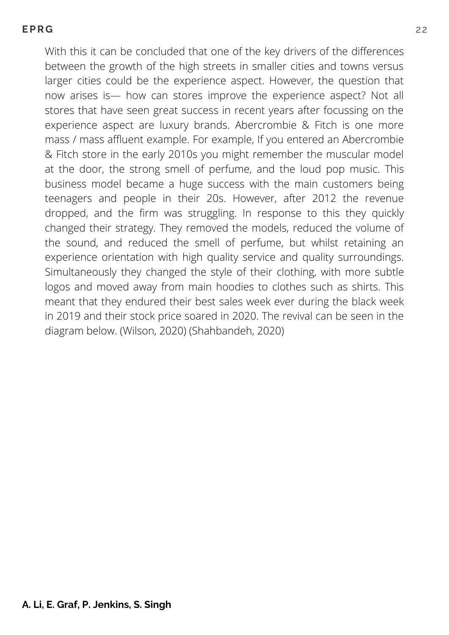With this it can be concluded that one of the key drivers of the differences between the growth of the high streets in smaller cities and towns versus larger cities could be the experience aspect. However, the question that now arises is— how can stores improve the experience aspect? Not all stores that have seen great success in recent years after focussing on the experience aspect are luxury brands. Abercrombie & Fitch is one more mass / mass affluent example. For example, If you entered an Abercrombie & Fitch store in the early 2010s you might remember the muscular model at the door, the strong smell of perfume, and the loud pop music. This business model became a huge success with the main customers being teenagers and people in their 20s. However, after 2012 the revenue dropped, and the firm was struggling. In response to this they quickly changed their strategy. They removed the models, reduced the volume of the sound, and reduced the smell of perfume, but whilst retaining an experience orientation with high quality service and quality surroundings. Simultaneously they changed the style of their clothing, with more subtle logos and moved away from main hoodies to clothes such as shirts. This meant that they endured their best sales week ever during the black week in 2019 and their stock price soared in 2020. The revival can be seen in the diagram below. (Wilson, 2020) (Shahbandeh, 2020)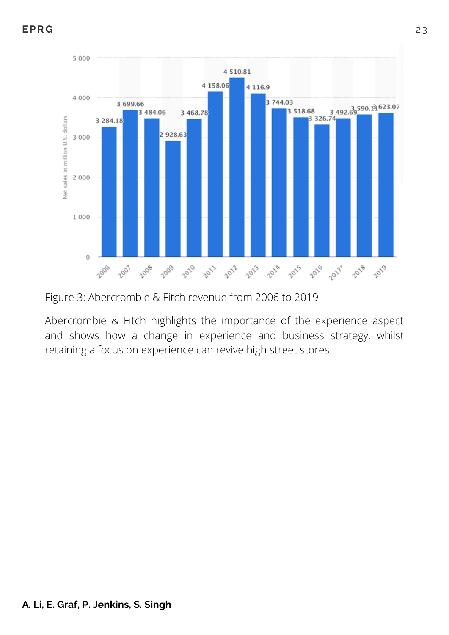

Figure 3: Abercrombie & Fitch revenue from 2006 to 2019

Abercrombie & Fitch highlights the importance of the experience aspect and shows how a change in experience and business strategy, whilst retaining a focus on experience can revive high street stores.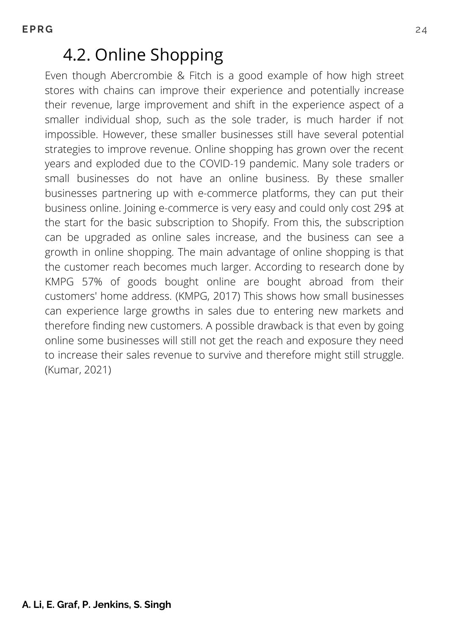### 4.2. Online Shopping

Even though Abercrombie & Fitch is a good example of how high street stores with chains can improve their experience and potentially increase their revenue, large improvement and shift in the experience aspect of a smaller individual shop, such as the sole trader, is much harder if not impossible. However, these smaller businesses still have several potential strategies to improve revenue. Online shopping has grown over the recent years and exploded due to the COVID-19 pandemic. Many sole traders or small businesses do not have an online business. By these smaller businesses partnering up with e-commerce platforms, they can put their business online. Joining e-commerce is very easy and could only cost 29\$ at the start for the basic subscription to Shopify. From this, the subscription can be upgraded as online sales increase, and the business can see a growth in online shopping. The main advantage of online shopping is that the customer reach becomes much larger. According to research done by KMPG 57% of goods bought online are bought abroad from their customers' home address. (KMPG, 2017) This shows how small businesses can experience large growths in sales due to entering new markets and therefore finding new customers. A possible drawback is that even by going online some businesses will still not get the reach and exposure they need to increase their sales revenue to survive and therefore might still struggle. (Kumar, 2021)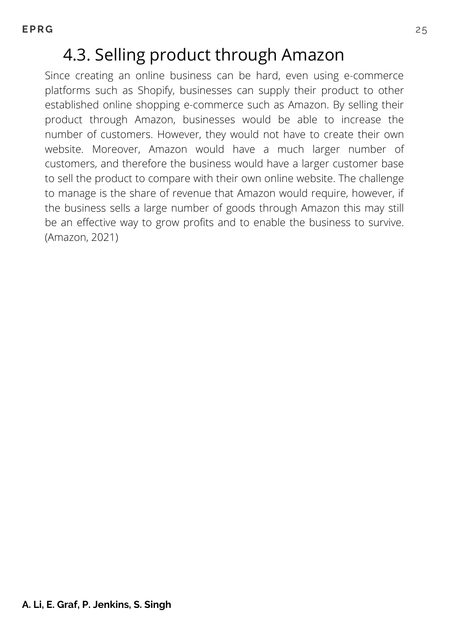# 4.3. Selling product through Amazon

Since creating an online business can be hard, even using e-commerce platforms such as Shopify, businesses can supply their product to other established online shopping e-commerce such as Amazon. By selling their product through Amazon, businesses would be able to increase the number of customers. However, they would not have to create their own website. Moreover, Amazon would have a much larger number of customers, and therefore the business would have a larger customer base to sell the product to compare with their own online website. The challenge to manage is the share of revenue that Amazon would require, however, if the business sells a large number of goods through Amazon this may still be an effective way to grow profits and to enable the business to survive. (Amazon, 2021)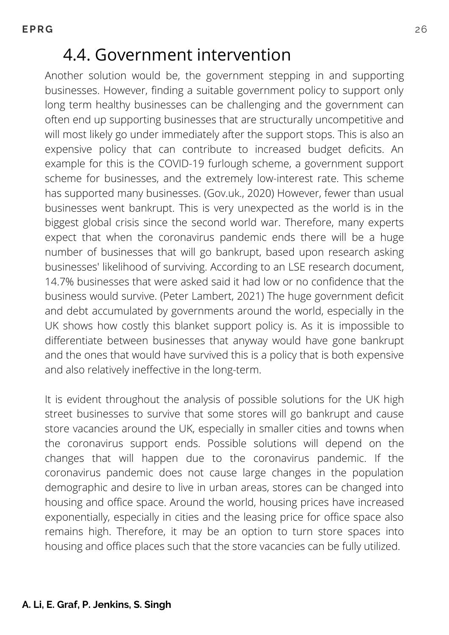### 4.4. Government intervention

Another solution would be, the government stepping in and supporting businesses. However, finding a suitable government policy to support only long term healthy businesses can be challenging and the government can often end up supporting businesses that are structurally uncompetitive and will most likely go under immediately after the support stops. This is also an expensive policy that can contribute to increased budget deficits. An example for this is the COVID-19 furlough scheme, a government support scheme for businesses, and the extremely low-interest rate. This scheme has supported many businesses. (Gov.uk., 2020) However, fewer than usual businesses went bankrupt. This is very unexpected as the world is in the biggest global crisis since the second world war. Therefore, many experts expect that when the coronavirus pandemic ends there will be a huge number of businesses that will go bankrupt, based upon research asking businesses' likelihood of surviving. According to an LSE research document, 14.7% businesses that were asked said it had low or no confidence that the business would survive. (Peter Lambert, 2021) The huge government deficit and debt accumulated by governments around the world, especially in the UK shows how costly this blanket support policy is. As it is impossible to differentiate between businesses that anyway would have gone bankrupt and the ones that would have survived this is a policy that is both expensive and also relatively ineffective in the long-term.

It is evident throughout the analysis of possible solutions for the UK high street businesses to survive that some stores will go bankrupt and cause store vacancies around the UK, especially in smaller cities and towns when the coronavirus support ends. Possible solutions will depend on the changes that will happen due to the coronavirus pandemic. If the coronavirus pandemic does not cause large changes in the population demographic and desire to live in urban areas, stores can be changed into housing and office space. Around the world, housing prices have increased exponentially, especially in cities and the leasing price for office space also remains high. Therefore, it may be an option to turn store spaces into housing and office places such that the store vacancies can be fully utilized.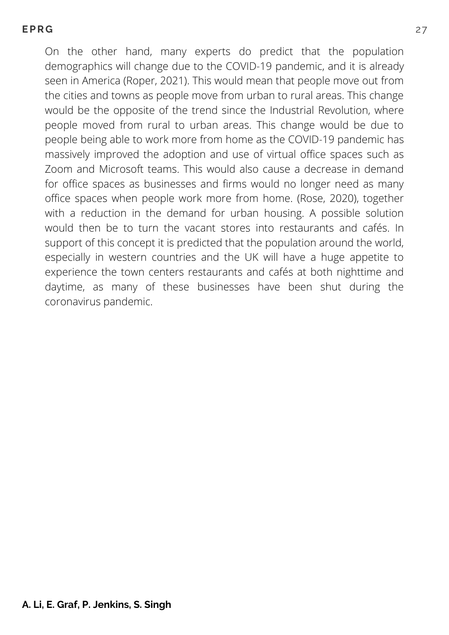#### **EPR G** 27

On the other hand, many experts do predict that the population demographics will change due to the COVID-19 pandemic, and it is already seen in America (Roper, 2021). This would mean that people move out from the cities and towns as people move from urban to rural areas. This change would be the opposite of the trend since the Industrial Revolution, where people moved from rural to urban areas. This change would be due to people being able to work more from home as the COVID-19 pandemic has massively improved the adoption and use of virtual office spaces such as Zoom and Microsoft teams. This would also cause a decrease in demand for office spaces as businesses and firms would no longer need as many office spaces when people work more from home. (Rose, 2020), together with a reduction in the demand for urban housing. A possible solution would then be to turn the vacant stores into restaurants and cafés. In support of this concept it is predicted that the population around the world, especially in western countries and the UK will have a huge appetite to experience the town centers restaurants and cafés at both nighttime and daytime, as many of these businesses have been shut during the coronavirus pandemic.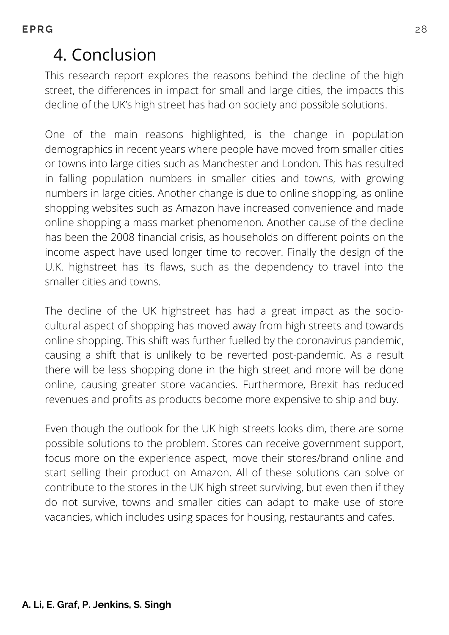# 4. Conclusion

This research report explores the reasons behind the decline of the high street, the differences in impact for small and large cities, the impacts this decline of the UK's high street has had on society and possible solutions.

One of the main reasons highlighted, is the change in population demographics in recent years where people have moved from smaller cities or towns into large cities such as Manchester and London. This has resulted in falling population numbers in smaller cities and towns, with growing numbers in large cities. Another change is due to online shopping, as online shopping websites such as Amazon have increased convenience and made online shopping a mass market phenomenon. Another cause of the decline has been the 2008 financial crisis, as households on different points on the income aspect have used longer time to recover. Finally the design of the U.K. highstreet has its flaws, such as the dependency to travel into the smaller cities and towns.

The decline of the UK highstreet has had a great impact as the sociocultural aspect of shopping has moved away from high streets and towards online shopping. This shift was further fuelled by the coronavirus pandemic, causing a shift that is unlikely to be reverted post-pandemic. As a result there will be less shopping done in the high street and more will be done online, causing greater store vacancies. Furthermore, Brexit has reduced revenues and profits as products become more expensive to ship and buy.

Even though the outlook for the UK high streets looks dim, there are some possible solutions to the problem. Stores can receive government support, focus more on the experience aspect, move their stores/brand online and start selling their product on Amazon. All of these solutions can solve or contribute to the stores in the UK high street surviving, but even then if they do not survive, towns and smaller cities can adapt to make use of store vacancies, which includes using spaces for housing, restaurants and cafes.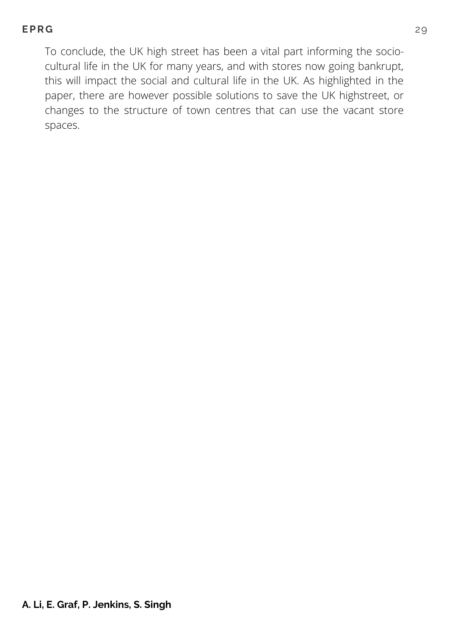#### **EPR G** 29

To conclude, the UK high street has been a vital part informing the sociocultural life in the UK for many years, and with stores now going bankrupt, this will impact the social and cultural life in the UK. As highlighted in the paper, there are however possible solutions to save the UK highstreet, or changes to the structure of town centres that can use the vacant store spaces.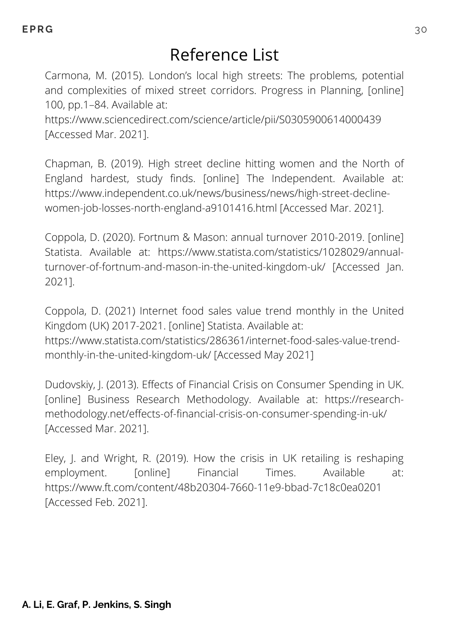### Reference List

Carmona, M. (2015). London's local high streets: The problems, potential and complexities of mixed street corridors. Progress in Planning, [online] 100, pp.1–84. Available at:

https://www.sciencedirect.com/science/article/pii/S0305900614000439 [Accessed Mar. 2021].

Chapman, B. (2019). High street decline hitting women and the North of England hardest, study finds. [online] The Independent. Available at: https://www.independent.co.uk/news/business/news/high-street-declinewomen-job-losses-north-england-a9101416.html [Accessed Mar. 2021].

Coppola, D. (2020). Fortnum & Mason: annual turnover 2010-2019. [online] Statista. Available at: https://www.statista.com/statistics/1028029/annualturnover-of-fortnum-and-mason-in-the-united-kingdom-uk/ [Accessed Jan. 2021].

Coppola, D. (2021) Internet food sales value trend monthly in the United Kingdom (UK) 2017-2021. [online] Statista. Available at: [https://www.statista.com/statistics/286361/internet-food-sales-value-trend](https://www.statista.com/statistics/286361/internet-food-sales-value-trend-monthly-in-the-united-kingdom-uk/)monthly-in-the-united-kingdom-uk/ [Accessed May 2021]

Dudovskiy, J. (2013). Effects of Financial Crisis on Consumer Spending in UK. [online] Business Research Methodology. Available at: https://researchmethodology.net/effects-of-financial-crisis-on-consumer-spending-in-uk/ [Accessed Mar. 2021].

Eley, J. and Wright, R. (2019). How the crisis in UK retailing is reshaping employment. [online] Financial Times. Available at: https://www.ft.com/content/48b20304-7660-11e9-bbad-7c18c0ea0201 [Accessed Feb. 2021].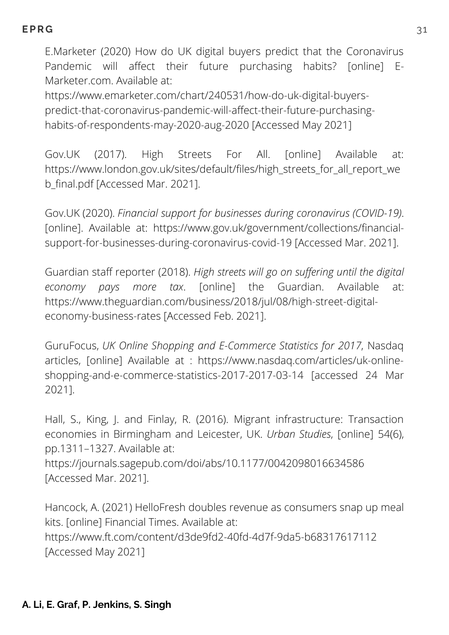E.Marketer (2020) How do UK digital buyers predict that the Coronavirus Pandemic will affect their future purchasing habits? [online] E-Marketer.com. Available at:

https://www.emarketer.com/chart/240531/how-do-uk-digital-buyers[predict-that-coronavirus-pandemic-will-affect-their-future-purchasing](https://www.emarketer.com/chart/240531/how-do-uk-digital-buyers-predict-that-coronavirus-pandemic-will-affect-their-future-purchasing-habits-of-respondents-may-2020-aug-2020)habits-of-respondents-may-2020-aug-2020 [Accessed May 2021]

Gov.UK (2017). High Streets For All. [online] Available at: https://www.london.gov.uk/sites/default/files/high\_streets\_for\_all\_report\_we b\_final.pdf [Accessed Mar. 2021].

Gov.UK (2020). *Financial support for businesses during coronavirus (COVID-19)*. [online]. Available at: https://www.gov.uk/government/collections/financialsupport-for-businesses-during-coronavirus-covid-19 [Accessed Mar. 2021].

Guardian staff reporter (2018). *High streets will go on suffering until the digital economy pays more tax*. [online] the Guardian. Available at: https://www.theguardian.com/business/2018/jul/08/high-street-digitaleconomy-business-rates [Accessed Feb. 2021].

GuruFocus, *UK Online Shopping and E-Commerce Statistics for 2017*, Nasdaq articles, [online] Available at : https://www.nasdaq.com/articles/uk-online[shopping-and-e-commerce-statistics-2017-2017-03-14](https://www.nasdaq.com/articles/uk-online-shopping-and-e-commerce-statistics-2017-2017-03-14) [accessed 24 Mar 2021].

Hall, S., King, J. and Finlay, R. (2016). Migrant infrastructure: Transaction economies in Birmingham and Leicester, UK. *Urban Studies*, [online] 54(6), pp.1311–1327. Available at: https://journals.sagepub.com/doi/abs/10.1177/0042098016634586 [Accessed Mar. 2021].

Hancock, A. (2021) HelloFresh doubles revenue as consumers snap up meal kits. [online] Financial Times. Available at: <https://www.ft.com/content/d3de9fd2-40fd-4d7f-9da5-b68317617112> [Accessed May 2021]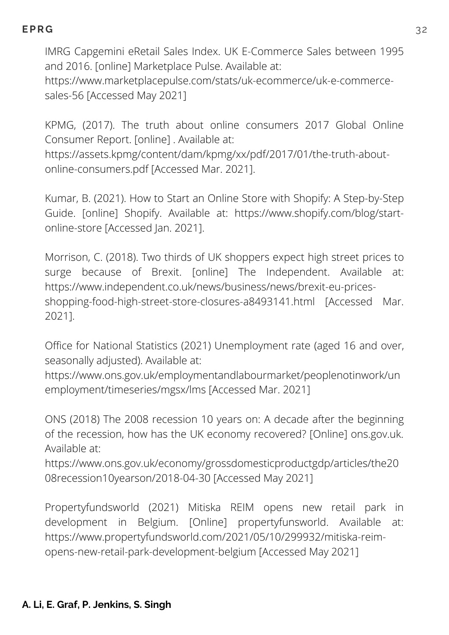IMRG Capgemini eRetail Sales Index. UK E-Commerce Sales between 1995 and 2016. [online] Marketplace Pulse. Available at:

[https://www.marketplacepulse.com/stats/uk-ecommerce/uk-e-commerce](https://www.marketplacepulse.com/stats/uk-ecommerce/uk-e-commerce-sales-56)sales-56 [Accessed May 2021]

KPMG, (2017). The truth about online consumers 2017 Global Online Consumer Report. [online] . Available at:

https://assets.kpmg/content/dam/kpmg/xx/pdf/2017/01/the-truth-aboutonline-consumers.pdf [Accessed Mar. 2021].

Kumar, B. (2021). How to Start an Online Store with Shopify: A Step-by-Step Guide. [online] Shopify. Available at: https://www.shopify.com/blog/startonline-store [Accessed Jan. 2021].

Morrison, C. (2018). Two thirds of UK shoppers expect high street prices to surge because of Brexit. [online] The Independent. Available at: https://www.independent.co.uk/news/business/news/brexit-eu-pricesshopping-food-high-street-store-closures-a8493141.html [Accessed Mar. 2021].

Office for National Statistics (2021) Unemployment rate (aged 16 and over, seasonally adjusted). Available at:

[https://www.ons.gov.uk/employmentandlabourmarket/peoplenotinwork/un](https://www.ons.gov.uk/employmentandlabourmarket/peoplenotinwork/unemployment/timeseries/mgsx/lms) employment/timeseries/mgsx/lms [Accessed Mar. 2021]

ONS (2018) The 2008 recession 10 years on: A decade after the beginning of the recession, how has the UK economy recovered? [Online] ons.gov.uk. Available at:

[https://www.ons.gov.uk/economy/grossdomesticproductgdp/articles/the20](https://www.ons.gov.uk/economy/grossdomesticproductgdp/articles/the2008recession10yearson/2018-04-30) 08recession10yearson/2018-04-30 [Accessed May 2021]

Propertyfundsworld (2021) Mitiska REIM opens new retail park in development in Belgium. [Online] propertyfunsworld. Available at: [https://www.propertyfundsworld.com/2021/05/10/299932/mitiska-reim](https://www.propertyfundsworld.com/2021/05/10/299932/mitiska-reim-opens-new-retail-park-development-belgium)opens-new-retail-park-development-belgium [Accessed May 2021]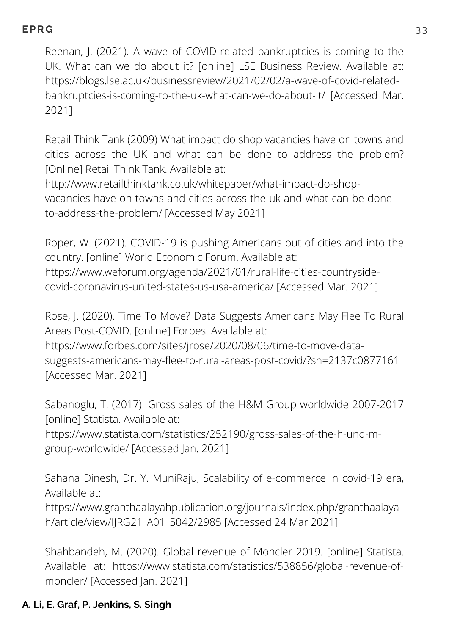Reenan, J. (2021). A wave of COVID-related bankruptcies is coming to the UK. What can we do about it? [online] LSE Business Review. Available at: https://blogs.lse.ac.uk/businessreview/2021/02/02/a-wave-of-covid-relatedbankruptcies-is-coming-to-the-uk-what-can-we-do-about-it/ [Accessed Mar. 2021]

Retail Think Tank (2009) What impact do shop vacancies have on towns and cities across the UK and what can be done to address the problem? [Online] Retail Think Tank. Available at:

http://www.retailthinktank.co.uk/whitepaper/what-impact-do-shop[vacancies-have-on-towns-and-cities-across-the-uk-and-what-can-be-done](http://www.retailthinktank.co.uk/whitepaper/what-impact-do-shop-vacancies-have-on-towns-and-cities-across-the-uk-and-what-can-be-done-to-address-the-problem/)to-address-the-problem/ [Accessed May 2021]

Roper, W. (2021). COVID-19 is pushing Americans out of cities and into the country. [online] World Economic Forum. Available at: https://www.weforum.org/agenda/2021/01/rural-life-cities-countrysidecovid-coronavirus-united-states-us-usa-america/ [Accessed Mar. 2021]

Rose, J. (2020). Time To Move? Data Suggests Americans May Flee To Rural Areas Post-COVID. [online] Forbes. Available at: https://www.forbes.com/sites/jrose/2020/08/06/time-to-move-data-

suggests-americans-may-flee-to-rural-areas-post-covid/?sh=2137c0877161 [Accessed Mar. 2021]

Sabanoglu, T. (2017). Gross sales of the H&M Group worldwide 2007-2017 [online] Statista. Available at:

https://www.statista.com/statistics/252190/gross-sales-of-the-h-und-mgroup-worldwide/ [Accessed Jan. 2021]

Sahana Dinesh, Dr. Y. MuniRaju, Scalability of e-commerce in covid-19 era, Available at:

[https://www.granthaalayahpublication.org/journals/index.php/granthaalaya](https://www.granthaalayahpublication.org/journals/index.php/granthaalayah/article/view/IJRG21_A01_5042/2985) h/article/view/IJRG21\_A01\_5042/2985 [Accessed 24 Mar 2021]

Shahbandeh, M. (2020). Global revenue of Moncler 2019. [online] Statista. Available at: https://www.statista.com/statistics/538856/global-revenue-ofmoncler/ [Accessed Jan. 2021]

#### **A. Li, E. Graf, P. Jenkins, S. Singh**